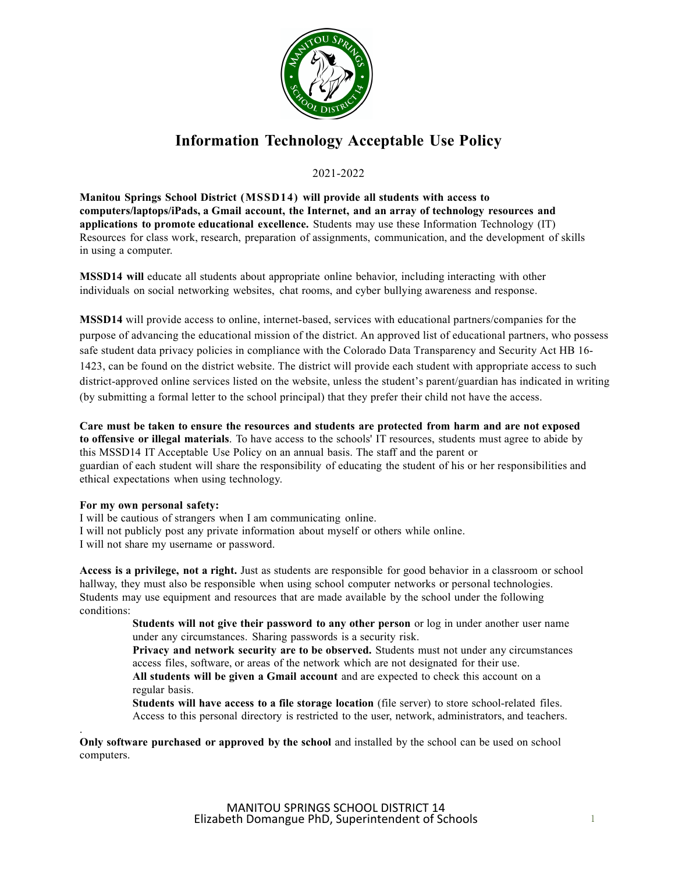

## **Information Technology Acceptable Use Policy**

2021-2022

**Manitou Springs School District (MSSD14) will provide all students with access to computers/laptops/iPads, a Gmail account, the Internet, and an array of technology resources and applications to promote educational excellence.** Students may use these Information Technology (IT) Resources for class work, research, preparation of assignments, communication, and the development of skills in using a computer.

**MSSD14 will** educate all students about appropriate online behavior, including interacting with other individuals on social networking websites, chat rooms, and cyber bullying awareness and response.

**MSSD14** will provide access to online, internet-based, services with educational partners/companies for the purpose of advancing the educational mission of the district. An approved list of educational partners, who possess safe student data privacy policies in compliance with the Colorado Data Transparency and Security Act HB 16- 1423, can be found on the district website. The district will provide each student with appropriate access to such district-approved online services listed on the website, unless the student's parent/guardian has indicated in writing (by submitting a formal letter to the school principal) that they prefer their child not have the access.

**Care must be taken to ensure the resources and students are protected from harm and are not exposed to offensive or illegal materials**. To have access to the schools' IT resources, students must agree to abide by this MSSD14 IT Acceptable Use Policy on an annual basis. The staff and the parent or guardian of each student will share the responsibility of educating the student of his or her responsibilities and ethical expectations when using technology.

## **For my own personal safety:**

I will be cautious of strangers when I am communicating online. I will not publicly post any private information about myself or others while online. I will not share my username or password.

**Access is a privilege, not a right.** Just as students are responsible for good behavior in a classroom or school hallway, they must also be responsible when using school computer networks or personal technologies. Students may use equipment and resources that are made available by the school under the following conditions:

> **Students will not give their password to any other person** or log in under another user name under any circumstances. Sharing passwords is a security risk.

> **Privacy and network security are to be observed.** Students must not under any circumstances access files, software, or areas of the network which are not designated for their use.

**All students will be given a Gmail account** and are expected to check this account on a regular basis.

**Students will have access to a file storage location** (file server) to store school-related files. Access to this personal directory is restricted to the user, network, administrators, and teachers.

. **Only software purchased or approved by the school** and installed by the school can be used on school computers.